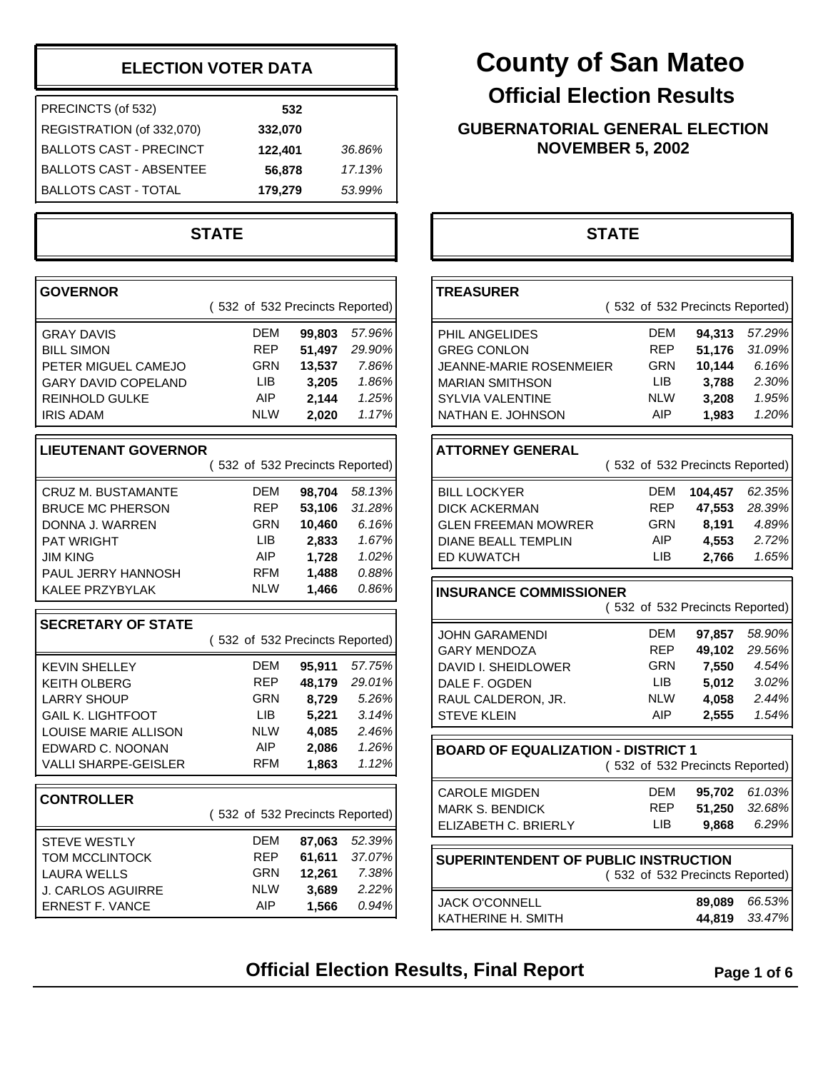# **ELECTION VOTER DATA**

| PRECINCTS (of 532)             | 532     |        |
|--------------------------------|---------|--------|
| REGISTRATION (of 332,070)      | 332,070 |        |
| <b>BALLOTS CAST - PRECINCT</b> | 122,401 | 36.86% |
| <b>BALLOTS CAST - ABSENTEE</b> | 56,878  | 17.13% |
| <b>BALLOTS CAST - TOTAL</b>    | 179,279 | 53.99% |

# **STATE**

| <b>GOVERNOR</b>             | (532 of 532 Precincts Reported) |        |        |
|-----------------------------|---------------------------------|--------|--------|
| <b>GRAY DAVIS</b>           | <b>DEM</b>                      | 99,803 | 57.96% |
| <b>BILL SIMON</b>           | <b>REP</b>                      | 51,497 | 29.90% |
| PETER MIGUEL CAMEJO         | GRN                             | 13,537 | 7.86%  |
| <b>GARY DAVID COPELAND</b>  | LIB.                            | 3,205  | 1.86%  |
| <b>REINHOLD GULKE</b>       | <b>AIP</b>                      | 2,144  | 1.25%  |
| <b>IRIS ADAM</b>            | <b>NLW</b>                      | 2,020  | 1.17%  |
|                             |                                 |        |        |
| <b>LIEUTENANT GOVERNOR</b>  | (532 of 532 Precincts Reported) |        |        |
| CRUZ M. BUSTAMANTE          | DEM                             | 98,704 | 58.13% |
| <b>BRUCE MC PHERSON</b>     | <b>REP</b>                      | 53,106 | 31.28% |
| DONNA J. WARREN             | GRN                             | 10,460 | 6.16%  |
| <b>PAT WRIGHT</b>           | LIB.                            | 2,833  | 1.67%  |
| JIM KING                    | AIP                             | 1,728  | 1.02%  |
| PAUL JERRY HANNOSH          | <b>RFM</b>                      | 1,488  | 0.88%  |
| KALEE PRZYBYLAK             | <b>NLW</b>                      | 1,466  | 0.86%  |
|                             |                                 |        |        |
| <b>SECRETARY OF STATE</b>   | (532 of 532 Precincts Reported) |        |        |
| <b>KEVIN SHELLEY</b>        | DEM                             | 95,911 | 57.75% |
| <b>KEITH OLBERG</b>         | REP                             | 48,179 | 29.01% |
| <b>LARRY SHOUP</b>          | <b>GRN</b>                      | 8,729  | 5.26%  |
| <b>GAIL K. LIGHTFOOT</b>    | LIB                             | 5,221  | 3.14%  |
| LOUISE MARIE ALLISON        | <b>NLW</b>                      | 4,085  | 2.46%  |
| EDWARD C. NOONAN            | AIP.                            | 2,086  | 1.26%  |
| <b>VALLI SHARPE-GEISLER</b> | RFM                             | 1,863  | 1.12%  |
|                             |                                 |        |        |
| <b>CONTROLLER</b>           | (532 of 532 Precincts Reported) |        |        |
| <b>STEVE WESTLY</b>         | DEM                             | 87,063 | 52.39% |
| TOM MCCLINTOCK              | <b>REP</b>                      | 61,611 | 37.07% |
| <b>LAURA WELLS</b>          | <b>GRN</b>                      | 12,261 | 7.38%  |
| J. CARLOS AGUIRRE           | <b>NLW</b>                      | 3,689  | 2.22%  |
| <b>ERNEST F. VANCE</b>      | AIP                             | 1,566  | 0.94%  |

# **Official Election Results County of San Mateo**

### **GUBERNATORIAL GENERAL ELECTION NOVEMBER 5, 2002**

## **STATE**

| <b>TREASURER</b>                          | (532 of 532 Precincts Reported) |         |        |
|-------------------------------------------|---------------------------------|---------|--------|
| PHIL ANGELIDES                            | DEM                             | 94,313  | 57.29% |
| <b>GREG CONLON</b>                        | <b>REP</b>                      | 51,176  | 31.09% |
| JEANNE-MARIE ROSENMEIER                   | GRN                             | 10,144  | 6.16%  |
| <b>MARIAN SMITHSON</b>                    | <b>LIB</b>                      | 3,788   | 2.30%  |
| <b>SYLVIA VALENTINE</b>                   | <b>NLW</b>                      | 3,208   | 1.95%  |
| NATHAN E. JOHNSON                         | AIP                             | 1,983   | 1.20%  |
|                                           |                                 |         |        |
| <b>ATTORNEY GENERAL</b>                   | (532 of 532 Precincts Reported) |         |        |
| <b>BILL LOCKYER</b>                       | DEM                             | 104,457 | 62.35% |
| <b>DICK ACKERMAN</b>                      | REP                             | 47,553  | 28.39% |
| <b>GLEN FREEMAN MOWRER</b>                | GRN                             | 8,191   | 4.89%  |
| <b>DIANE BEALL TEMPLIN</b>                | AIP                             | 4,553   | 2.72%  |
| <b>ED KUWATCH</b>                         | LIB                             | 2,766   | 1.65%  |
|                                           |                                 |         |        |
| <b>INSURANCE COMMISSIONER</b>             | (532 of 532 Precincts Reported) |         |        |
| JOHN GARAMENDI                            | DEM                             | 97,857  | 58.90% |
| <b>GARY MENDOZA</b>                       | REP                             | 49,102  | 29.56% |
| DAVID I. SHEIDLOWER                       | GRN                             | 7,550   | 4.54%  |
| DALE F. OGDEN                             | LIB                             | 5,012   | 3.02%  |
| RAUL CALDERON, JR.                        | <b>NLW</b>                      | 4,058   | 2.44%  |
| <b>STEVE KLEIN</b>                        | AIP                             | 2,555   | 1.54%  |
|                                           |                                 |         |        |
| <b>BOARD OF EQUALIZATION - DISTRICT 1</b> | (532 of 532 Precincts Reported) |         |        |
| <b>CAROLE MIGDEN</b>                      | DEM                             | 95,702  | 61.03% |
| <b>MARK S. BENDICK</b>                    | <b>REP</b>                      | 51,250  | 32.68% |
| ELIZABETH C. BRIERLY                      | LIB                             | 9,868   | 6.29%  |
|                                           |                                 |         |        |
| SUPERINTENDENT OF PUBLIC INSTRUCTION      | (532 of 532 Precincts Reported) |         |        |
| JACK O'CONNELL                            |                                 | 89,089  | 66.53% |
| KATHERINE H. SMITH                        |                                 | 44,819  | 33.47% |

# **Official Election Results, Final Report Page 1 of 6**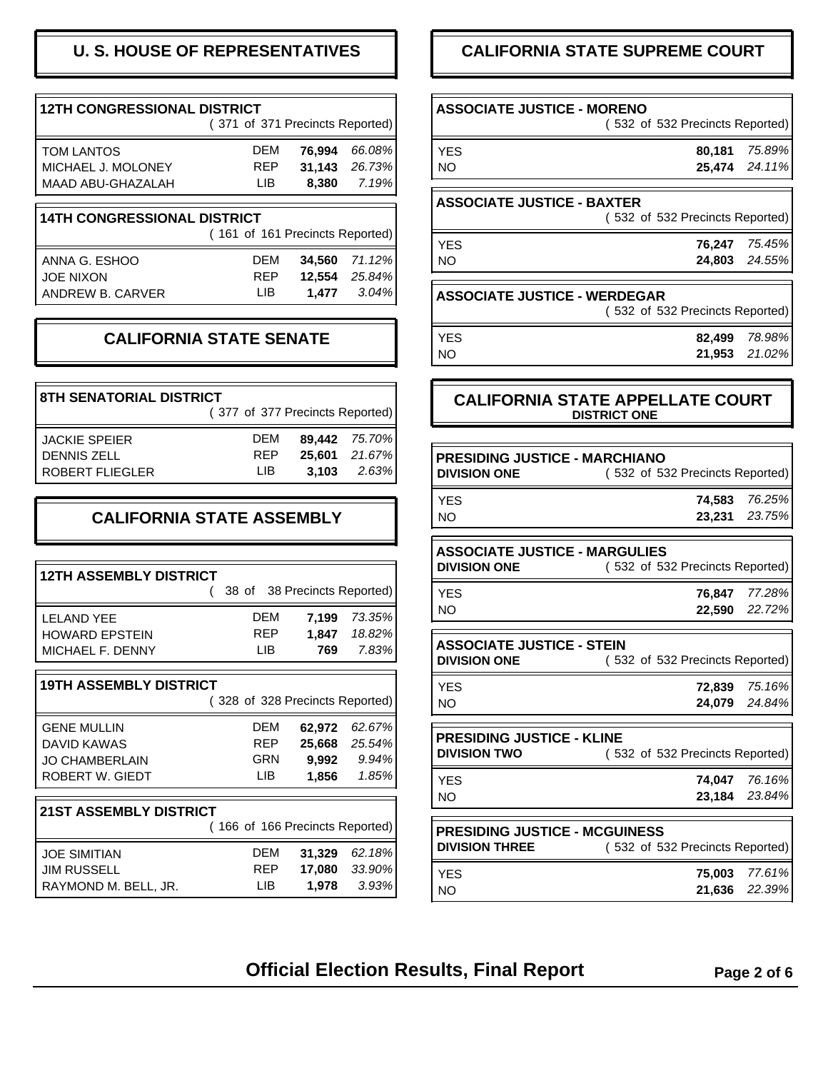# **U. S. HOUSE OF REPRESENTATIVES**

| 12TH CONGRESSIONAL DISTRICT |                                 |        |        |
|-----------------------------|---------------------------------|--------|--------|
|                             | (371 of 371 Precincts Reported) |        |        |
| <b>TOM LANTOS</b>           | DEM                             | 76,994 | 66.08% |
| MICHAEL J. MOLONEY          | REP                             | 31,143 | 26.73% |
| MAAD ABU-GHAZALAH           | LIB                             | 8,380  | 7.19%  |
|                             |                                 |        |        |
| 14TH CONGRESSIONAL DISTRICT |                                 |        |        |
|                             | (161 of 161 Precincts Reported) |        |        |
| ANNA G. ESHOO               | DEM                             | 34,560 | 71.12% |
| <b>JOE NIXON</b>            | <b>RFP</b>                      | 12,554 | 25.84% |
| ANDREW B. CARVER            | LIB                             | 1.477  | 3.04%  |

### **CALIFORNIA STATE SENATE**

| <b>8TH SENATORIAL DISTRICT</b> |                                 |  |                  |  |
|--------------------------------|---------------------------------|--|------------------|--|
|                                | (377 of 377 Precincts Reported) |  |                  |  |
| <b>JACKIE SPEIER</b>           | <b>DEM</b>                      |  | 89,442 75.70%    |  |
| <b>DENNIS ZELL</b>             | <b>RFP</b>                      |  | 25,601 21.67%    |  |
| ROBERT FLIEGLER                | l IB                            |  | $3.103$ $2.63\%$ |  |

### **CALIFORNIA STATE ASSEMBLY**

| <b>12TH ASSEMBLY DISTRICT</b> | 38 of |            |        | 38 Precincts Reported)          |
|-------------------------------|-------|------------|--------|---------------------------------|
| <b>LELAND YEE</b>             |       | DEM        | 7,199  | 73.35%                          |
| <b>HOWARD EPSTEIN</b>         |       | RFP        | 1,847  | 18.82%                          |
| <b>MICHAEL F. DENNY</b>       |       | LIB        | 769    | 7.83%                           |
|                               |       |            |        |                                 |
| <b>19TH ASSEMBLY DISTRICT</b> |       |            |        |                                 |
|                               |       |            |        | (328 of 328 Precincts Reported) |
| <b>GENE MULLIN</b>            |       | DEM        | 62,972 | 62.67%                          |
| <b>DAVID KAWAS</b>            |       | RFP        | 25,668 | 25.54%                          |
| <b>JO CHAMBERLAIN</b>         |       | GRN        | 9,992  | 9.94%                           |
| <b>ROBERT W. GIEDT</b>        |       | LIB        | 1,856  | 1.85%                           |
|                               |       |            |        |                                 |
| <b>21ST ASSEMBLY DISTRICT</b> |       |            |        |                                 |
|                               |       |            |        | (166 of 166 Precincts Reported) |
| <b>JOE SIMITIAN</b>           |       | DEM        | 31,329 | 62.18%                          |
| <b>JIM RUSSELL</b>            |       | <b>RFP</b> | 17,080 | 33.90%                          |
| RAYMOND M. BELL, JR.          |       | LIB        | 1,978  | 3.93%                           |

### **CALIFORNIA STATE SUPREME COURT**

| <b>ASSOCIATE JUSTICE - MORENO</b>   |                                         |               |
|-------------------------------------|-----------------------------------------|---------------|
|                                     | (532 of 532 Precincts Reported)         |               |
| <b>YES</b>                          | 80,181                                  | 75.89%        |
| <b>NO</b>                           |                                         | 25,474 24.11% |
|                                     |                                         |               |
| ASSOCIATE JUSTICE - BAXTER          | (532 of 532 Precincts Reported)         |               |
| <b>YES</b>                          | 76,247                                  | 75.45%        |
| <b>NO</b>                           |                                         | 24,803 24.55% |
| <b>ASSOCIATE JUSTICE - WERDEGAR</b> |                                         |               |
|                                     | (532 of 532 Precincts Reported)         |               |
| <b>YES</b>                          | 82,499                                  | 78.98%        |
| NO.                                 |                                         | 21,953 21.02% |
|                                     |                                         |               |
|                                     | <b>CALIFORNIA STATE APPELLATE COURT</b> |               |

| <b>PRESIDING JUSTICE - MARCHIANO</b> |                                 |                      |
|--------------------------------------|---------------------------------|----------------------|
| <b>DIVISION ONE</b>                  | (532 of 532 Precincts Reported) |                      |
| <b>YES</b>                           |                                 | <b>74.583</b> 76.25% |
| NO.                                  |                                 | 23.231 23.75%        |

**DISTRICT ONE**

**ASSOCIATE JUSTICE - MARGULIES** (532 of 532 Precincts Reported)

| YES. |               | 76.847 77.28% |
|------|---------------|---------------|
| NΟ   | 22.590 22.72% |               |
|      |               |               |

| <b>ASSOCIATE JUSTICE - STEIN</b> |                                 |                      |
|----------------------------------|---------------------------------|----------------------|
| <b>I DIVISION ONE</b>            | (532 of 532 Precincts Reported) |                      |
| I YES                            |                                 | <b>72,839</b> 75.16% |
| I NO                             |                                 | 24,079 24.84%        |

| PRESIDING JUSTICE - KLINE<br>(532 of 532 Precincts Reported)<br>I DIVISION TWO |  |                                       |  |
|--------------------------------------------------------------------------------|--|---------------------------------------|--|
| l YFS<br>I NO                                                                  |  | <b>74,047</b> 76.16%<br>23,184 23.84% |  |

### **PRESIDING JUSTICE - MCGUINESS**<br>**DIVISION THREE** (532 of 5) (532 of 532 Precincts Reported) YES **75,003** *77.61%* NO **21,636** *22.39%*

**Official Election Results, Final Report** Page 2 of 6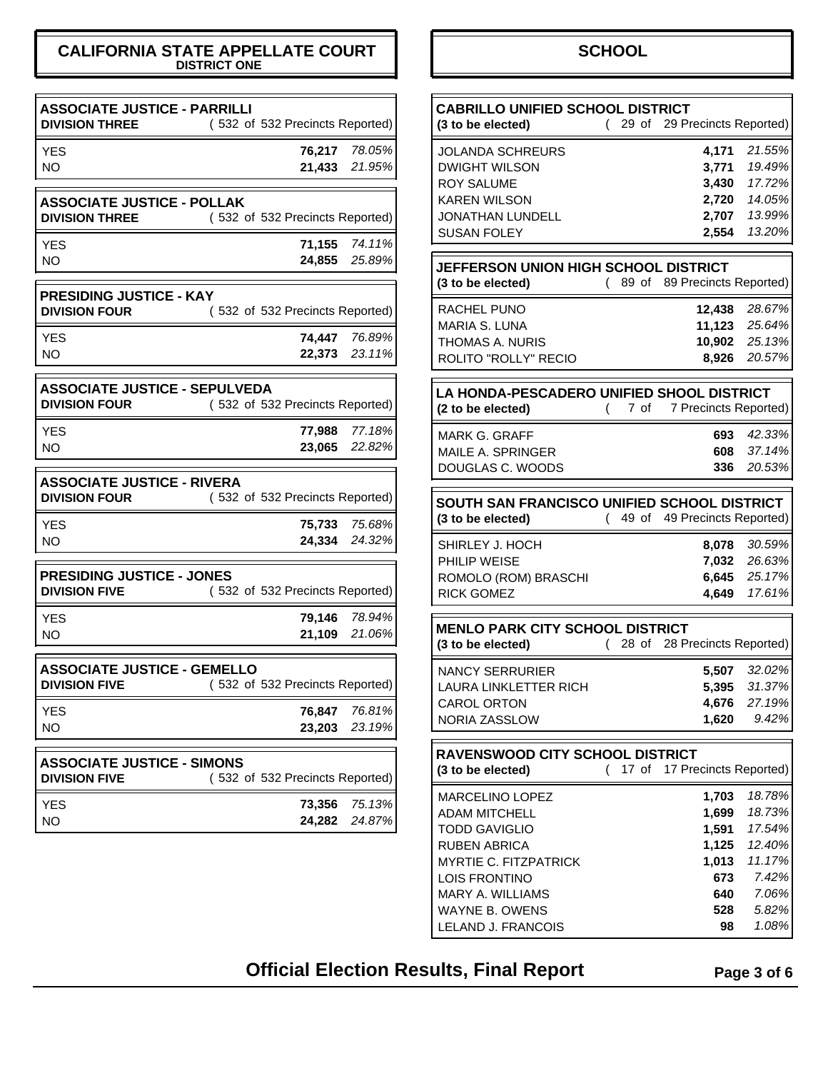#### **CALIFORNIA STATE APPELLATE COURT DISTRICT ONE**

| <b>ASSOCIATE JUSTICE - PARRILLI</b><br><b>DIVISION THREE</b> |  | (532 of 532 Precincts Reported)                                                              |                         |  |
|--------------------------------------------------------------|--|----------------------------------------------------------------------------------------------|-------------------------|--|
| YES<br>NO.                                                   |  | 76,217<br>21,433                                                                             | 78.05%<br>21.95%        |  |
| <b>ASSOCIATE JUSTICE - POLLAK</b><br><b>DIVISION THREE</b>   |  | (532 of 532 Precincts Reported)                                                              |                         |  |
| YES<br><b>NO</b>                                             |  | 71,155<br>24,855                                                                             | 74.11%<br>25.89%        |  |
| <b>PRESIDING JUSTICE - KAY</b><br><b>DIVISION FOUR</b>       |  | (532 of 532 Precincts Reported)                                                              |                         |  |
| YES<br>NO.                                                   |  | 22,373                                                                                       | 74,447 76.89%<br>23.11% |  |
| <b>ASSOCIATE JUSTICE - SEPULVEDA</b><br><b>DIVISION FOUR</b> |  | (532 of 532 Precincts Reported)                                                              |                         |  |
| <b>YES</b><br><b>NO</b>                                      |  | 77,988<br>23,065                                                                             | 77.18%<br>22.82%        |  |
| <b>ASSOCIATE JUSTICE - RIVERA</b><br><b>DIVISION FOUR</b>    |  | (532 of 532 Precincts Reported)                                                              |                         |  |
| YES<br><b>NO</b>                                             |  | 75,733                                                                                       | 75.68%<br>24,334 24.32% |  |
| <b>PRESIDING JUSTICE - JONES</b><br><b>DIVISION FIVE</b>     |  | (532 of 532 Precincts Reported)                                                              |                         |  |
| YES<br><b>NO</b>                                             |  | 79,146<br>21,109                                                                             | 78.94%<br>21.06%        |  |
| <b>ASSOCIATE JUSTICE - GEMELLO</b><br><b>DIVISION FIVE</b>   |  | (532 of 532 Precincts Reported)                                                              |                         |  |
| YES<br><b>NO</b>                                             |  | 76,847<br>23,203                                                                             | 76.81%<br>23.19%        |  |
|                                                              |  | <b>ASSOCIATE JUSTICE - SIMONS</b><br><b>DIVISION FIVE</b><br>(532 of 532 Precincts Reported) |                         |  |
|                                                              |  |                                                                                              |                         |  |

# **SCHOOL**

| <b>CABRILLO UNIFIED SCHOOL DISTRICT</b><br>(3 to be elected)                                                                   | $\left($     | 29 of 29 Precincts Reported)                       |                                                          |  |  |
|--------------------------------------------------------------------------------------------------------------------------------|--------------|----------------------------------------------------|----------------------------------------------------------|--|--|
| JOLANDA SCHREURS<br><b>DWIGHT WILSON</b><br><b>ROY SALUME</b><br><b>KAREN WILSON</b><br>JONATHAN LUNDELL<br><b>SUSAN FOLEY</b> |              | 4,171<br>3,771<br>3,430<br>2,720<br>2,707<br>2,554 | 21.55%<br>19.49%<br>17.72%<br>14.05%<br>13.99%<br>13.20% |  |  |
| <b>JEFFERSON UNION HIGH SCHOOL DISTRICT</b><br>(3 to be elected)                                                               | 89 of<br>(   | 89 Precincts Reported)                             |                                                          |  |  |
| RACHEL PUNO<br><b>MARIA S. LUNA</b><br>THOMAS A. NURIS<br>ROLITO "ROLLY" RECIO                                                 |              | 12,438<br>11,123<br>10,902<br>8,926                | 28.67%<br>25.64%<br>25.13%<br>20.57%                     |  |  |
| LA HONDA-PESCADERO UNIFIED SHOOL DISTRICT<br>(2 to be elected)<br>7 of<br>7 Precincts Reported)<br>(                           |              |                                                    |                                                          |  |  |
| MARK G. GRAFF<br><b>MAILE A. SPRINGER</b><br>DOUGLAS C. WOODS                                                                  |              | 693<br>608<br>336                                  | 42.33%<br>37.14%<br>20.53%                               |  |  |
| SOUTH SAN FRANCISCO UNIFIED SCHOOL DISTRICT                                                                                    |              |                                                    |                                                          |  |  |
| (3 to be elected)                                                                                                              | 49 of<br>(   | 49 Precincts Reported)                             |                                                          |  |  |
| SHIRLEY J. HOCH<br><b>PHILIP WEISE</b><br>ROMOLO (ROM) BRASCHI<br><b>RICK GOMEZ</b>                                            |              | 8,078<br>7,032<br>6,645<br>4,649                   | 30.59%<br>26.63%<br>25.17%<br>17.61%                     |  |  |
| <b>MENLO PARK CITY SCHOOL DISTRICT</b><br>(3 to be elected)                                                                    | 28 of<br>(   | 28 Precincts Reported)                             |                                                          |  |  |
| <b>NANCY SERRURIER</b><br>I AURA LINKLETTER RICH<br><b>CAROL ORTON</b><br>NORIA ZASSLOW                                        |              | 5,507<br>4,676<br>1,620                            | 32.02%<br>5,395 31.37%<br>27.19%<br>9.42%                |  |  |
| RAVENSWOOD CITY SCHOOL DISTRICT<br>(3 to be elected)                                                                           | $17$ of<br>( | 17 Precincts Reported)                             |                                                          |  |  |

WAYNE B. OWENS **528** *5.82%* LELAND J. FRANCOIS **98** *1.08%*

# **Official Election Results, Final Report** Page 3 of 6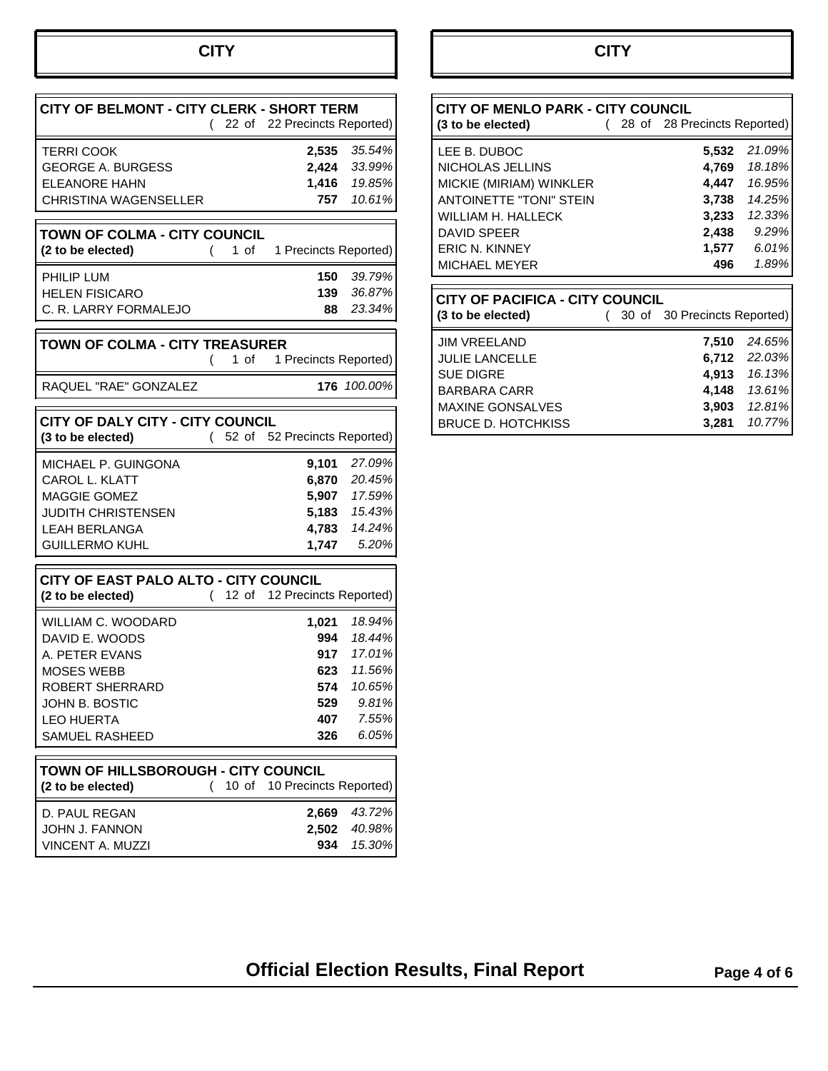# **CITY**

| CITY OF BELMONT - CITY CLERK - SHORT TERM                                                                                                               | (22 of 22 Precincts Reported)                          |                                                                           |
|---------------------------------------------------------------------------------------------------------------------------------------------------------|--------------------------------------------------------|---------------------------------------------------------------------------|
| TERRI COOK<br><b>GEORGE A. BURGESS</b><br><b>ELEANORE HAHN</b><br>CHRISTINA WAGENSELLER                                                                 | 2,535<br>2,424<br>1,416<br>757                         | 35.54%<br>33.99%<br>19.85%<br>10.61%                                      |
| <b>TOWN OF COLMA - CITY COUNCIL</b><br>1 of<br>(2 to be elected)<br>(                                                                                   | 1 Precincts Reported)                                  |                                                                           |
| PHILIP LUM<br><b>HELEN FISICARO</b><br>C. R. LARRY FORMALEJO                                                                                            | 150<br>139<br>88                                       | 39.79%<br>36.87%<br>23.34%                                                |
| <b>TOWN OF COLMA - CITY TREASURER</b><br>1 of<br>(                                                                                                      | 1 Precincts Reported)                                  |                                                                           |
| RAQUEL "RAE" GONZALEZ                                                                                                                                   |                                                        | 176 100.00%                                                               |
| <b>CITY OF DALY CITY - CITY COUNCIL</b><br>(3 to be elected)<br>(                                                                                       | 52 of 52 Precincts Reported)                           |                                                                           |
| MICHAEL P. GUINGONA<br><b>CAROL L. KLATT</b><br><b>MAGGIE GOMEZ</b><br>JUDITH CHRISTENSEN<br><b>LEAH BERLANGA</b><br><b>GUILLERMO KUHL</b>              | 9,101<br>6,870<br>5,183<br>4,783<br>1,747              | 27.09%<br>20.45%<br>5,907 17.59%<br>15.43%<br>14.24%<br>5.20%             |
| <b>CITY OF EAST PALO ALTO - CITY COUNCIL</b><br>12 of<br>(2 to be elected)<br>$\left($                                                                  | 12 Precincts Reported)                                 |                                                                           |
| WILLIAM C. WOODARD<br>DAVID E. WOODS<br>A. PETER EVANS<br><b>MOSES WEBB</b><br>ROBERT SHERRARD<br>JOHN B. BOSTIC<br><b>LEO HUERTA</b><br>SAMUEL RASHEED | 1,021<br>994<br>917<br>623<br>574<br>529<br>407<br>326 | 18.94%<br>18.44%<br>17.01%<br>11.56%<br>10.65%<br>9.81%<br>7.55%<br>6.05% |
| TOWN OF HILLSBOROUGH - CITY COUNCIL<br>$10o$ of<br>(2 to be elected)<br>(                                                                               | 10 Precincts Reported)                                 |                                                                           |
| D. PAUL REGAN<br>JOHN J. FANNON<br>VINCENT A. MUZZI                                                                                                     | 2,669<br>2,502<br>934                                  | 43.72%<br>40.98%<br>15.30%                                                |

# **CITY**

|  | 5,532 | 21.09%                                                                   |
|--|-------|--------------------------------------------------------------------------|
|  | 4,769 | 18.18%                                                                   |
|  | 4,447 | 16.95%                                                                   |
|  | 3,738 | 14.25%                                                                   |
|  | 3,233 | 12.33%                                                                   |
|  | 2,438 | 9.29%                                                                    |
|  | 1,577 | 6.01%                                                                    |
|  | 496   | 1.89%                                                                    |
|  |       | <b>CITY OF MENLO PARK - CITY COUNCIL</b><br>28 of 28 Precincts Reported) |

| <b>CITY OF PACIFICA - CITY COUNCIL</b><br>(3 to be elected) |  | 30 of 30 Precincts Reported) |              |
|-------------------------------------------------------------|--|------------------------------|--------------|
| <b>JIM VREELAND</b>                                         |  | 7.510                        | 24.65%       |
| <b>JULIE LANCELLE</b>                                       |  |                              | 6,712 22.03% |
| <b>SUE DIGRE</b>                                            |  | 4.913                        | 16.13%       |
| <b>BARBARA CARR</b>                                         |  | 4.148                        | 13.61%       |
| <b>MAXINE GONSALVES</b>                                     |  | 3,903                        | 12.81%       |
| <b>BRUCE D. HOTCHKISS</b>                                   |  | 3.281                        | 10.77%       |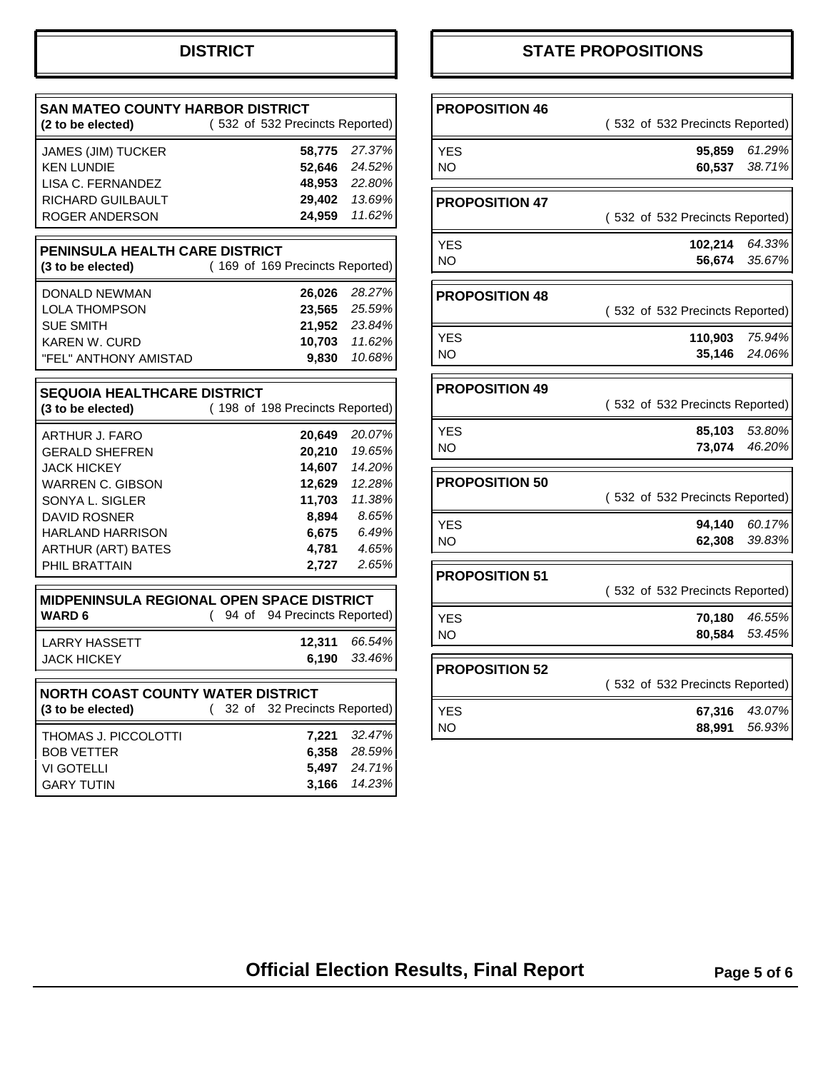# **DISTRICT**

| SAN MATEO COUNTY HARBOR DISTRICT<br>(532 of 532 Precincts Reported)<br>(2 to be elected)           |   |  |       |                                 |              |  |
|----------------------------------------------------------------------------------------------------|---|--|-------|---------------------------------|--------------|--|
| JAMES (JIM) TUCKER                                                                                 |   |  |       | 58,775                          | 27.37%       |  |
| <b>KEN LUNDIE</b>                                                                                  |   |  |       | 52,646                          | 24.52%       |  |
| LISA C. FERNANDEZ                                                                                  |   |  |       | 48,953                          | 22.80%       |  |
| RICHARD GUILBAULT                                                                                  |   |  |       | 29,402                          | 13.69%       |  |
| ROGER ANDERSON                                                                                     |   |  |       | 24,959                          | 11.62%       |  |
|                                                                                                    |   |  |       |                                 |              |  |
| PENINSULA HEALTH CARE DISTRICT<br>(3 to be elected)                                                |   |  |       | (169 of 169 Precincts Reported) |              |  |
| <b>DONALD NEWMAN</b>                                                                               |   |  |       | 26,026                          | 28.27%       |  |
| <b>LOLA THOMPSON</b>                                                                               |   |  |       | 23,565                          | 25.59%       |  |
| <b>SUE SMITH</b>                                                                                   |   |  |       | 21,952                          | 23.84%       |  |
| <b>KAREN W. CURD</b>                                                                               |   |  |       | 10,703                          | 11.62%       |  |
| "FEL" ANTHONY AMISTAD                                                                              |   |  |       | 9,830                           | 10.68%       |  |
| <b>SEQUOIA HEALTHCARE DISTRICT</b><br>(198 of 198 Precincts Reported)<br>(3 to be elected)         |   |  |       |                                 |              |  |
| <b>ARTHUR J. FARO</b>                                                                              |   |  |       | 20,649                          | 20.07%       |  |
| <b>GERALD SHEFREN</b>                                                                              |   |  |       | 20,210                          | 19.65%       |  |
| <b>JACK HICKEY</b>                                                                                 |   |  |       | 14,607                          | 14.20%       |  |
| WARREN C. GIBSON                                                                                   |   |  |       | 12,629                          | 12.28%       |  |
| SONYA L. SIGLER                                                                                    |   |  |       | 11,703                          | 11.38%       |  |
| <b>DAVID ROSNER</b>                                                                                |   |  |       | 8,894                           | 8.65%        |  |
| <b>HARLAND HARRISON</b>                                                                            |   |  |       | 6,675                           | 6.49%        |  |
| <b>ARTHUR (ART) BATES</b>                                                                          |   |  |       | 4,781                           | 4.65%        |  |
| <b>PHIL BRATTAIN</b>                                                                               |   |  |       | 2,727                           | 2.65%        |  |
| MIDPENINSULA REGIONAL OPEN SPACE DISTRICT<br>94 Precincts Reported)<br><b>WARD 6</b><br>94 of<br>( |   |  |       |                                 |              |  |
| <b>LARRY HASSETT</b>                                                                               |   |  |       | 12,311                          | 66.54%       |  |
| <b>JACK HICKEY</b>                                                                                 |   |  |       | 6,190                           | 33.46%       |  |
| NORTH COAST COUNTY WATER DISTRICT<br>(3 to be elected)                                             | ( |  | 32 of | 32 Precincts Reported)          |              |  |
| THOMAS J. PICCOLOTTI                                                                               |   |  |       | 7,221                           | 32.47%       |  |
| <b>BOB VETTER</b>                                                                                  |   |  |       |                                 | 6,358 28.59% |  |
| VI GOTELLI                                                                                         |   |  |       | 5,497                           | 24.71%       |  |
| <b>GARY TUTIN</b>                                                                                  |   |  |       | 3,166                           | 14.23%       |  |
|                                                                                                    |   |  |       |                                 |              |  |

# **STATE PROPOSITIONS**

| <b>PROPOSITION 46</b> | (532 of 532 Precincts Reported) |                  |
|-----------------------|---------------------------------|------------------|
| YES<br>ΝO             | 95,859<br>60,537                | 61.29%<br>38.71% |
|                       |                                 |                  |
| <b>PROPOSITION 47</b> | (532 of 532 Precincts Reported) |                  |
| YES                   | 102,214                         | 64.33%           |
| NΟ                    | 56,674                          | 35.67%           |
|                       |                                 |                  |
|                       |                                 |                  |
| <b>PROPOSITION 48</b> | (532 of 532 Precincts Reported) |                  |
| YES                   | 110,903                         | 75.94%           |
| <b>NO</b>             | 35,146                          | 24.06%           |
|                       |                                 |                  |
|                       |                                 |                  |
| <b>PROPOSITION 49</b> |                                 |                  |
|                       | (532 of 532 Precincts Reported) |                  |
| <b>YES</b>            | 85,103                          | 53.80%           |
|                       |                                 | 46.20%           |
| <b>NO</b>             | 73,074                          |                  |
|                       |                                 |                  |
| <b>PROPOSITION 50</b> |                                 |                  |
|                       | (532 of 532 Precincts Reported) |                  |
|                       |                                 |                  |
| YES                   | 94,140                          | 60.17%           |
| <b>NO</b>             | 62,308                          | 39.83%           |
|                       |                                 |                  |
| <b>PROPOSITION 51</b> |                                 |                  |
|                       | (532 of 532 Precincts Reported) |                  |
|                       |                                 |                  |
| YES                   | 70,180                          | 46.55%           |
| ΝO                    | 80,584                          | 53.45%           |
|                       |                                 |                  |
| <b>PROPOSITION 52</b> |                                 |                  |
|                       | (532 of 532 Precincts Reported) |                  |
|                       |                                 |                  |
| YES                   | 67,316                          | 43.07%           |
| <b>NO</b>             | 88,991                          | 56.93%           |

**Official Election Results, Final Report** Page 5 of 6